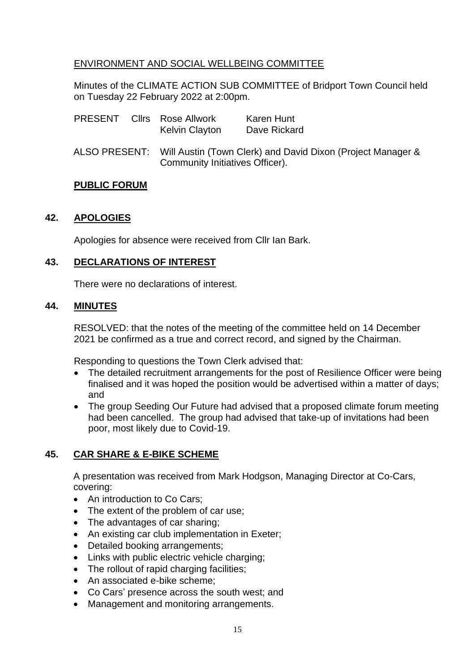## ENVIRONMENT AND SOCIAL WELLBEING COMMITTEE

Minutes of the CLIMATE ACTION SUB COMMITTEE of Bridport Town Council held on Tuesday 22 February 2022 at 2:00pm.

|  |  | <b>PRESENT</b> Clirs Rose Allwork<br><b>Kelvin Clayton</b>                                                   | Karen Hunt<br>Dave Rickard |
|--|--|--------------------------------------------------------------------------------------------------------------|----------------------------|
|  |  | ALSO PRESENT: Will Austin (Town Clerk) and David Dixon (Project Manager &<br>Community Initiatives Officer). |                            |

### **PUBLIC FORUM**

### **42. APOLOGIES**

Apologies for absence were received from Cllr Ian Bark.

## **43. DECLARATIONS OF INTEREST**

There were no declarations of interest.

### **44. MINUTES**

RESOLVED: that the notes of the meeting of the committee held on 14 December 2021 be confirmed as a true and correct record, and signed by the Chairman.

Responding to questions the Town Clerk advised that:

- The detailed recruitment arrangements for the post of Resilience Officer were being finalised and it was hoped the position would be advertised within a matter of days; and
- The group Seeding Our Future had advised that a proposed climate forum meeting had been cancelled. The group had advised that take-up of invitations had been poor, most likely due to Covid-19.

## **45. CAR SHARE & E-BIKE SCHEME**

A presentation was received from Mark Hodgson, Managing Director at Co-Cars, covering:

- An introduction to Co Cars:
- The extent of the problem of car use;
- The advantages of car sharing;
- An existing car club implementation in Exeter;
- Detailed booking arrangements:
- Links with public electric vehicle charging;
- The rollout of rapid charging facilities;
- An associated e-bike scheme;
- Co Cars' presence across the south west; and
- Management and monitoring arrangements.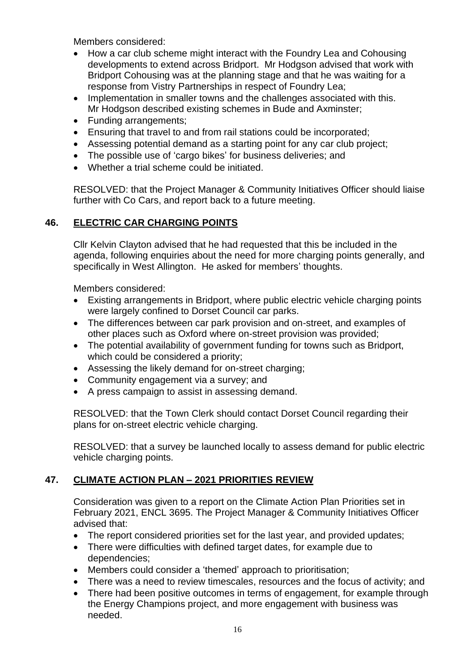Members considered:

- How a car club scheme might interact with the Foundry Lea and Cohousing developments to extend across Bridport. Mr Hodgson advised that work with Bridport Cohousing was at the planning stage and that he was waiting for a response from Vistry Partnerships in respect of Foundry Lea;
- Implementation in smaller towns and the challenges associated with this. Mr Hodgson described existing schemes in Bude and Axminster;
- Funding arrangements:
- Ensuring that travel to and from rail stations could be incorporated;
- Assessing potential demand as a starting point for any car club project;
- The possible use of 'cargo bikes' for business deliveries; and
- Whether a trial scheme could be initiated.

RESOLVED: that the Project Manager & Community Initiatives Officer should liaise further with Co Cars, and report back to a future meeting.

# **46. ELECTRIC CAR CHARGING POINTS**

Cllr Kelvin Clayton advised that he had requested that this be included in the agenda, following enquiries about the need for more charging points generally, and specifically in West Allington. He asked for members' thoughts.

Members considered:

- Existing arrangements in Bridport, where public electric vehicle charging points were largely confined to Dorset Council car parks.
- The differences between car park provision and on-street, and examples of other places such as Oxford where on-street provision was provided;
- The potential availability of government funding for towns such as Bridport, which could be considered a priority:
- Assessing the likely demand for on-street charging;
- Community engagement via a survey; and
- A press campaign to assist in assessing demand.

RESOLVED: that the Town Clerk should contact Dorset Council regarding their plans for on-street electric vehicle charging.

RESOLVED: that a survey be launched locally to assess demand for public electric vehicle charging points.

# **47. CLIMATE ACTION PLAN – 2021 PRIORITIES REVIEW**

Consideration was given to a report on the Climate Action Plan Priorities set in February 2021, ENCL 3695. The Project Manager & Community Initiatives Officer advised that:

- The report considered priorities set for the last year, and provided updates;
- There were difficulties with defined target dates, for example due to dependencies;
- Members could consider a 'themed' approach to prioritisation;
- There was a need to review timescales, resources and the focus of activity; and
- There had been positive outcomes in terms of engagement, for example through the Energy Champions project, and more engagement with business was needed.